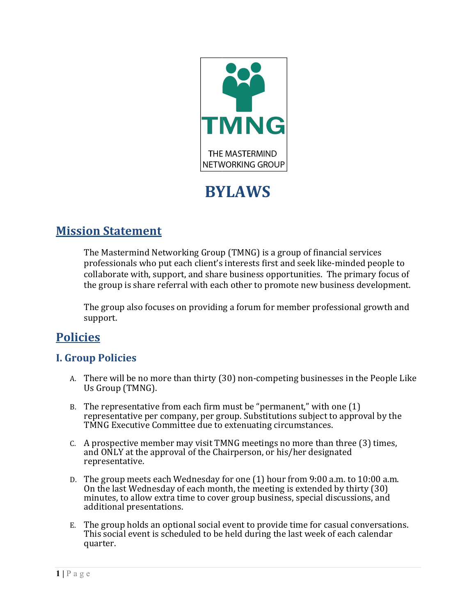

# **BYLAWS**

# **Mission Statement**

The Mastermind Networking Group (TMNG) is a group of financial services professionals who put each client's interests first and seek like-minded people to collaborate with, support, and share business opportunities. The primary focus of the group is share referral with each other to promote new business development.

The group also focuses on providing a forum for member professional growth and support.

# **Policies**

# **I. Group Policies**

- A. There will be no more than thirty (30) non-competing businesses in the People Like Us Group (TMNG).
- B. The representative from each firm must be "permanent," with one (1) representative per company, per group. Substitutions subject to approval by the TMNG Executive Committee due to extenuating circumstances.
- $C.$  A prospective member may visit TMNG meetings no more than three  $(3)$  times, and ONLY at the approval of the Chairperson, or his/her designated representative.
- D. The group meets each Wednesday for one (1) hour from 9:00 a.m. to 10:00 a.m. On the last Wednesday of each month, the meeting is extended by thirty (30) minutes, to allow extra time to cover group business, special discussions, and additional p resentations.
- E. The group holds an optional social event to provide time for casual conversations. This social event is scheduled to be held during the last week of each calendar quarter.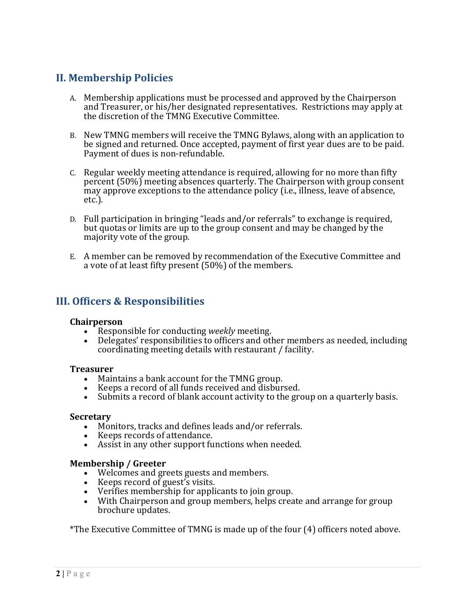## **II. Membership Policies**

- A. Membership applications must be processed and approved by the Chairperson and Treasurer, or his/her designated representatives. Restrictions may apply at the discretion of the TMNG Executive Committee.
- B. New TMNG members will receive the TMNG Bylaws, along with an application to be signed and returned. Once accepted, payment of first year dues are to be paid. Payment of dues is non-refundable.
- C. Regular weekly meeting attendance is required, allowing for no more than fifty percent (50%) meeting absences quarterly. The Chairperson with group consent may approve exceptions to the attendance policy (i.e., illness, leave of absence, etc.).
- D. Full participation in bringing "leads and/or referrals" to exchange is required, but quotas or limits are up to the group consent and may be changed by the majority vote of the group.
- E. A member can be removed by recommendation of the Executive Committee and a vote of at least fifty present (50%) of the members.

### **III. Officers & Responsibilities**

#### **Chairperson**

- Responsible for conducting *weekly* meeting.
- Delegates' responsibilities to officers and other members as needed, including coordinating meeting details with restaurant / facility.

#### **Treasurer**

- Maintains a bank account for the TMNG group.
- Keeps a record of all funds received and disbursed.
- Submits a record of blank account activity to the group on a quarterly basis.

#### **Secretary**

- Monitors, tracks and defines leads and/or referrals.
- Keeps records of attendance.
- Assist in any other support functions when needed.

#### **Membership / Greeter**

- Welcomes and greets guests and members.
- Keeps record of guest's visits.
- Verifies membership for applicants to join group.
- With Chairperson and group members, helps create and arrange for group brochure updates.

\*The Executive Committee of TMNG is made up of the four (4) officers noted above.